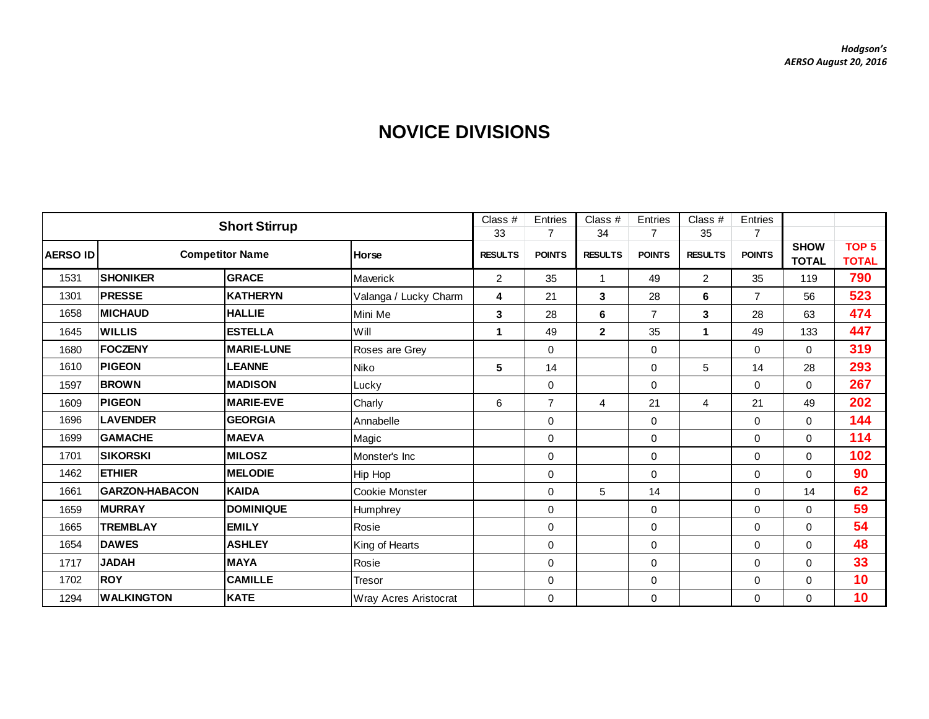## **NOVICE DIVISIONS**

|                 | <b>Short Stirrup</b>   |                   |                       |                | Entries        | Class #        | Entries        | Class $#$            | Entries        |                             |                                  |
|-----------------|------------------------|-------------------|-----------------------|----------------|----------------|----------------|----------------|----------------------|----------------|-----------------------------|----------------------------------|
|                 |                        |                   |                       | 33             | $\overline{7}$ | 34             | $\overline{7}$ | 35                   | $\overline{7}$ |                             |                                  |
| <b>AERSO ID</b> | <b>Competitor Name</b> |                   | Horse                 | <b>RESULTS</b> | <b>POINTS</b>  | <b>RESULTS</b> | <b>POINTS</b>  | <b>RESULTS</b>       | <b>POINTS</b>  | <b>SHOW</b><br><b>TOTAL</b> | TOP <sub>5</sub><br><b>TOTAL</b> |
| 1531            | <b>SHONIKER</b>        | <b>GRACE</b>      | Maverick              | $\overline{2}$ | 35             | 1              | 49             | 2                    | 35             | 119                         | 790                              |
| 1301            | <b>PRESSE</b>          | <b>KATHERYN</b>   | Valanga / Lucky Charm | 4              | 21             | 3              | 28             | 6                    | $\overline{7}$ | 56                          | 523                              |
| 1658            | <b>MICHAUD</b>         | <b>HALLIE</b>     | Mini Me               | $\mathbf{3}$   | 28             | 6              | $\overline{7}$ | 3                    | 28             | 63                          | 474                              |
| 1645            | <b>WILLIS</b>          | <b>ESTELLA</b>    | Will                  | $\mathbf 1$    | 49             | $\mathbf 2$    | 35             | $\blacktriangleleft$ | 49             | 133                         | 447                              |
| 1680            | <b>FOCZENY</b>         | <b>MARIE-LUNE</b> | Roses are Grey        |                | $\Omega$       |                | $\mathbf 0$    |                      | $\Omega$       | $\Omega$                    | 319                              |
| 1610            | <b>PIGEON</b>          | <b>LEANNE</b>     | Niko                  | 5              | 14             |                | $\Omega$       | 5                    | 14             | 28                          | 293                              |
| 1597            | <b>BROWN</b>           | <b>MADISON</b>    | Lucky                 |                | $\Omega$       |                | 0              |                      | $\Omega$       | $\Omega$                    | 267                              |
| 1609            | <b>PIGEON</b>          | <b>MARIE-EVE</b>  | Charly                | 6              | $\overline{7}$ | 4              | 21             | $\overline{4}$       | 21             | 49                          | 202                              |
| 1696            | <b>LAVENDER</b>        | <b>GEORGIA</b>    | Annabelle             |                | 0              |                | 0              |                      | $\mathbf 0$    | $\Omega$                    | 144                              |
| 1699            | <b>GAMACHE</b>         | <b>MAEVA</b>      | Magic                 |                | 0              |                | 0              |                      | $\mathbf 0$    | 0                           | 114                              |
| 1701            | <b>SIKORSKI</b>        | <b>MILOSZ</b>     | Monster's Inc         |                | 0              |                | 0              |                      | $\Omega$       | $\Omega$                    | 102                              |
| 1462            | <b>ETHIER</b>          | <b>MELODIE</b>    | Hip Hop               |                | 0              |                | $\mathbf 0$    |                      | 0              | $\Omega$                    | 90                               |
| 1661            | <b>GARZON-HABACON</b>  | <b>KAIDA</b>      | Cookie Monster        |                | $\Omega$       | 5              | 14             |                      | $\mathbf 0$    | 14                          | 62                               |
| 1659            | <b>MURRAY</b>          | <b>DOMINIQUE</b>  | Humphrey              |                | 0              |                | $\mathbf 0$    |                      | $\Omega$       | $\Omega$                    | 59                               |
| 1665            | <b>TREMBLAY</b>        | <b>EMILY</b>      | Rosie                 |                | 0              |                | 0              |                      | $\mathbf 0$    | $\Omega$                    | 54                               |
| 1654            | <b>DAWES</b>           | <b>ASHLEY</b>     | King of Hearts        |                | $\mathbf 0$    |                | 0              |                      | $\mathbf 0$    | 0                           | 48                               |
| 1717            | <b>JADAH</b>           | <b>MAYA</b>       | Rosie                 |                | $\Omega$       |                | 0              |                      | $\Omega$       | $\Omega$                    | 33                               |
| 1702            | <b>ROY</b>             | <b>CAMILLE</b>    | <b>Tresor</b>         |                | $\mathbf 0$    |                | 0              |                      | $\mathbf 0$    | $\Omega$                    | 10                               |
| 1294            | <b>WALKINGTON</b>      | <b>KATE</b>       | Wray Acres Aristocrat |                | $\Omega$       |                | 0              |                      | $\mathbf 0$    | $\Omega$                    | 10                               |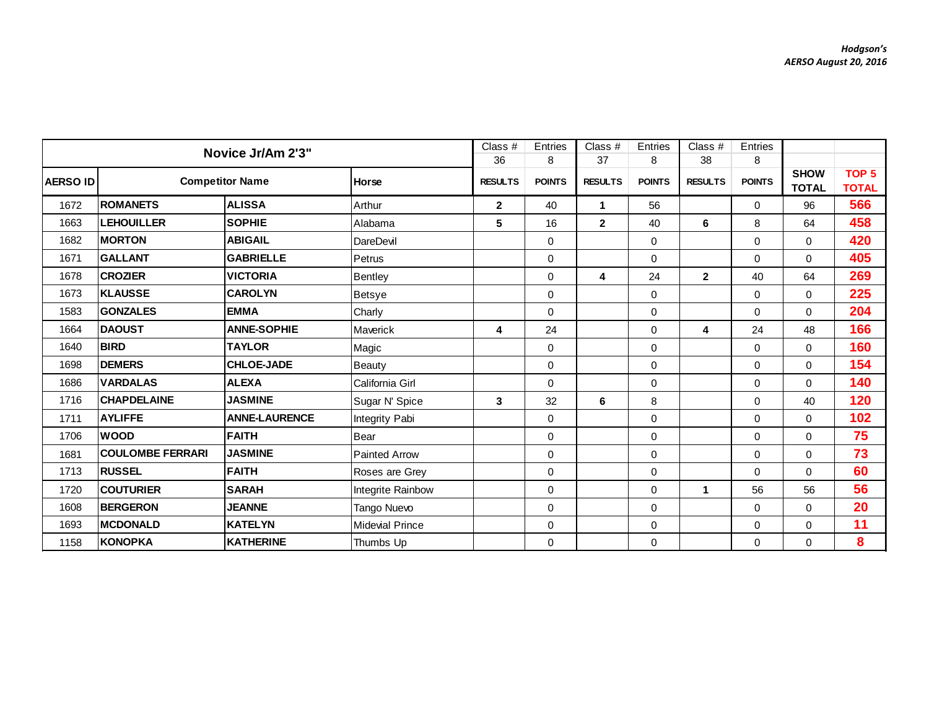|                 |                         | Novice Jr/Am 2'3"                      |                        | Class #                 | Entries       | Class $#$      | Entries       | Class #              | Entries       |                             |                                  |
|-----------------|-------------------------|----------------------------------------|------------------------|-------------------------|---------------|----------------|---------------|----------------------|---------------|-----------------------------|----------------------------------|
|                 |                         |                                        |                        | 36                      | 8             | 37             | 8             | 38                   | 8             |                             |                                  |
| <b>AERSO ID</b> |                         | <b>Competitor Name</b><br><b>Horse</b> |                        | <b>RESULTS</b>          | <b>POINTS</b> | <b>RESULTS</b> | <b>POINTS</b> | <b>RESULTS</b>       | <b>POINTS</b> | <b>SHOW</b><br><b>TOTAL</b> | TOP <sub>5</sub><br><b>TOTAL</b> |
| 1672            | <b>ROMANETS</b>         | <b>ALISSA</b>                          | Arthur                 | $\mathbf{2}$            | 40            | 1              | 56            |                      | $\Omega$      | 96                          | 566                              |
| 1663            | <b>LEHOUILLER</b>       | <b>SOPHIE</b>                          | Alabama                | $\overline{\mathbf{5}}$ | 16            | $\mathbf{2}$   | 40            | 6                    | 8             | 64                          | 458                              |
| 1682            | <b>MORTON</b>           | <b>ABIGAIL</b>                         | DareDevil              |                         | $\mathbf 0$   |                | $\mathbf 0$   |                      | 0             | $\mathbf 0$                 | 420                              |
| 1671            | <b>GALLANT</b>          | <b>GABRIELLE</b>                       | Petrus                 |                         | $\mathbf 0$   |                | $\mathbf 0$   |                      | 0             | $\Omega$                    | 405                              |
| 1678            | <b>CROZIER</b>          | <b>VICTORIA</b><br><b>Bentley</b>      |                        |                         | $\mathbf 0$   | 4              | 24            | $\mathbf{2}$         | 40            | 64                          | 269                              |
| 1673            | <b>KLAUSSE</b>          | <b>CAROLYN</b><br>Betsye               |                        |                         | 0             |                | $\mathbf 0$   |                      | $\Omega$      | $\mathbf 0$                 | 225                              |
| 1583            | <b>GONZALES</b>         | <b>EMMA</b>                            | Charly                 |                         | $\Omega$      |                | $\pmb{0}$     |                      | $\Omega$      | $\Omega$                    | 204                              |
| 1664            | <b>DAOUST</b>           | <b>ANNE-SOPHIE</b>                     | Maverick               | 4                       | 24            |                | 0             | 4                    | 24            | 48                          | 166                              |
| 1640            | <b>BIRD</b>             | <b>TAYLOR</b>                          | Magic                  |                         | $\Omega$      |                | $\mathbf 0$   |                      | $\Omega$      | $\Omega$                    | 160                              |
| 1698            | <b>DEMERS</b>           | <b>CHLOE-JADE</b>                      | Beauty                 |                         | $\mathbf 0$   |                | $\mathbf 0$   |                      | 0             | $\mathbf 0$                 | 154                              |
| 1686            | <b>VARDALAS</b>         | <b>ALEXA</b>                           | California Girl        |                         | $\Omega$      |                | $\mathbf 0$   |                      | 0             | $\Omega$                    | 140                              |
| 1716            | <b>CHAPDELAINE</b>      | <b>JASMINE</b>                         | Sugar N' Spice         | 3                       | 32            | 6              | 8             |                      | 0             | 40                          | 120                              |
| 1711            | <b>AYLIFFE</b>          | <b>ANNE-LAURENCE</b>                   | Integrity Pabi         |                         | $\mathbf 0$   |                | $\pmb{0}$     |                      | 0             | $\Omega$                    | 102                              |
| 1706            | <b>WOOD</b>             | <b>FAITH</b>                           | Bear                   |                         | $\Omega$      |                | $\mathbf 0$   |                      | 0             | $\Omega$                    | 75                               |
| 1681            | <b>COULOMBE FERRARI</b> | <b>JASMINE</b>                         | <b>Painted Arrow</b>   |                         | $\Omega$      |                | $\mathbf 0$   |                      | $\Omega$      | $\Omega$                    | 73                               |
| 1713            | <b>RUSSEL</b>           | <b>FAITH</b>                           | Roses are Grev         |                         | 0             |                | $\mathbf 0$   |                      | $\Omega$      | $\Omega$                    | 60                               |
| 1720            | <b>COUTURIER</b>        | <b>SARAH</b>                           | Integrite Rainbow      |                         | $\mathbf 0$   |                | $\mathbf 0$   | $\blacktriangleleft$ | 56            | 56                          | 56                               |
| 1608            | <b>BERGERON</b>         | <b>JEANNE</b>                          | Tango Nuevo            |                         | $\mathbf 0$   |                | $\pmb{0}$     |                      | 0             | $\Omega$                    | 20                               |
| 1693            | <b>MCDONALD</b>         | <b>KATELYN</b>                         | <b>Midevial Prince</b> |                         | $\mathbf 0$   |                | $\pmb{0}$     |                      | 0             | $\Omega$                    | 11                               |
| 1158            | <b>KONOPKA</b>          | <b>KATHERINE</b>                       | Thumbs Up              |                         | $\mathbf 0$   |                | 0             |                      | 0             | 0                           | 8                                |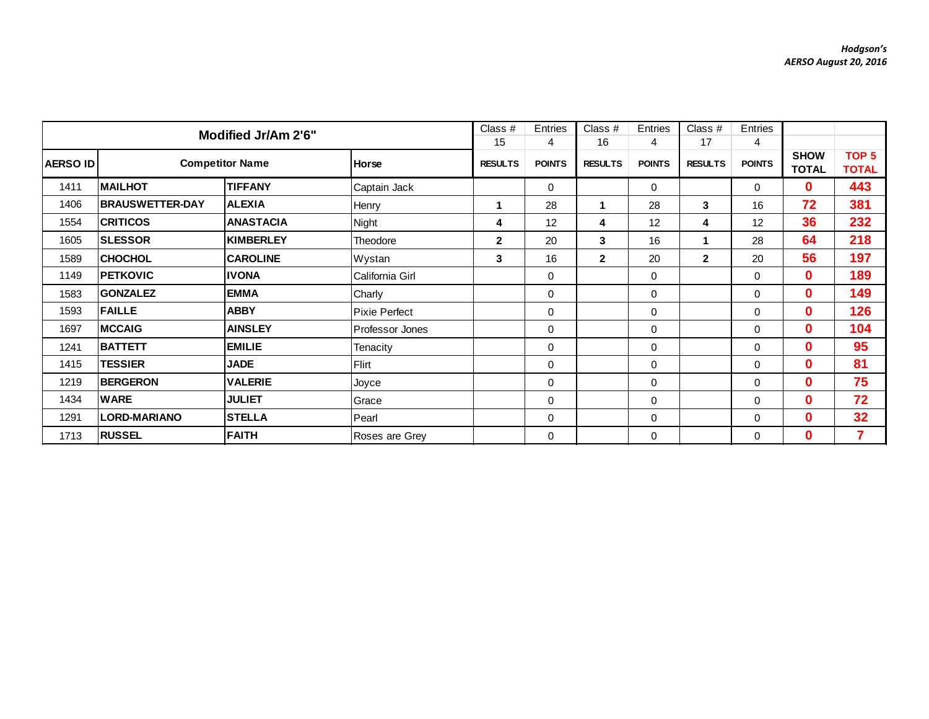|                 | Modified Jr/Am 2'6"          |                  |                      |                | Entries       | Class #        | Entries       | Class $#$      | Entries       |                             |                                  |
|-----------------|------------------------------|------------------|----------------------|----------------|---------------|----------------|---------------|----------------|---------------|-----------------------------|----------------------------------|
|                 |                              |                  |                      | 15             | 4             | 16             | 4             | 17             | 4             |                             |                                  |
| <b>AERSO ID</b> | <b>Competitor Name</b>       |                  | <b>Horse</b>         | <b>RESULTS</b> | <b>POINTS</b> | <b>RESULTS</b> | <b>POINTS</b> | <b>RESULTS</b> | <b>POINTS</b> | <b>SHOW</b><br><b>TOTAL</b> | TOP <sub>5</sub><br><b>TOTAL</b> |
| 1411            | <b>MAILHOT</b>               | <b>TIFFANY</b>   | Captain Jack         |                | 0             |                | 0             |                | $\mathbf 0$   | 0                           | 443                              |
| 1406            | <b>BRAUSWETTER-DAY</b>       | <b>ALEXIA</b>    | Henry                | $\mathbf{1}$   | 28            | 1              | 28            | $\mathbf{3}$   | 16            | 72                          | 381                              |
| 1554            | <b>CRITICOS</b>              | <b>ANASTACIA</b> | Night                | 4              | 12            | 4              | 12            | 4              | 12            | 36                          | 232                              |
| 1605            | <b>SLESSOR</b>               | <b>KIMBERLEY</b> | Theodore             | $\mathbf{2}$   | 20            | 3              | 16            |                | 28            | 64                          | 218                              |
| 1589            | <b>CHOCHOL</b>               | <b>CAROLINE</b>  | Wystan               | $\mathbf{3}$   | 16            | $\mathbf{2}$   | 20            | $\mathbf{2}$   | 20            | 56                          | 197                              |
| 1149            | <b>PETKOVIC</b>              | <b>IVONA</b>     | California Girl      |                | 0             |                | $\mathbf 0$   |                | 0             | 0                           | 189                              |
| 1583            | <b>GONZALEZ</b>              | <b>EMMA</b>      | Charly               |                | 0             |                | $\mathbf 0$   |                | 0             | 0                           | 149                              |
| 1593            | <b>FAILLE</b>                | <b>ABBY</b>      | <b>Pixie Perfect</b> |                | 0             |                | $\mathbf 0$   |                | 0             | 0                           | 126                              |
| 1697            | <b>MCCAIG</b>                | <b>AINSLEY</b>   | Professor Jones      |                | 0             |                | $\mathbf 0$   |                | 0             | 0                           | 104                              |
| 1241            | <b>BATTETT</b>               | <b>EMILIE</b>    | Tenacity             |                | 0             |                | $\mathbf 0$   |                | 0             | 0                           | 95                               |
| 1415            | <b>TESSIER</b>               | <b>JADE</b>      | <b>Flirt</b>         |                | 0             |                | $\mathbf 0$   |                | $\Omega$      | 0                           | 81                               |
| 1219            | <b>BERGERON</b>              | <b>VALERIE</b>   | Joyce                |                | 0             |                | 0             |                | $\Omega$      | 0                           | 75                               |
| 1434            | <b>WARE</b><br><b>JULIET</b> |                  | Grace                |                | 0             |                | 0             |                | $\Omega$      | 0                           | 72                               |
| 1291            | <b>LORD-MARIANO</b>          | <b>STELLA</b>    | Pearl                |                | 0             |                | 0             |                | $\Omega$      | 0                           | 32                               |
| 1713            | <b>RUSSEL</b>                | <b>FAITH</b>     | Roses are Grey       |                | 0             |                | 0             |                | $\Omega$      | 0                           | $\overline{7}$                   |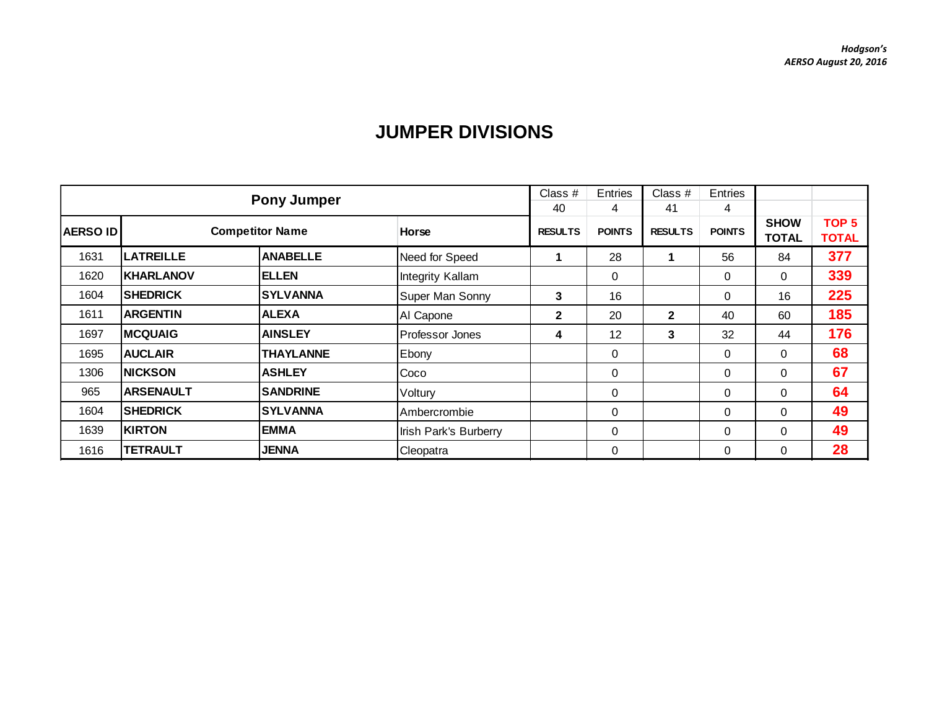## Class  $\#\$  Entries Class  $\#\$  Entries 40 4 41 4  $\blacksquare$ **AERSO ID Horse POINTS POINTS POINTS POINTS POINTS SHOW TOTAL TOP 5 TOTAL** 1631 **LATREILLE ANABELLE** Need for Speed **1** 28 **1** 56 84 **377** 1620 **KHARLANOV ELLEN** Integrity Kallam 0 0 0 **339** 1604 **SHEDRICK SYLVANNA** Super Man Sonny **3** 16 0 16 **225** 1611 **ARGENTIN ALEXA** Al Capone **2** 20 **2** 40 60 **185** 1697 **MCQUAIG AINSLEY** Professor Jones **4** 12 **3** 32 44 **176** 1695 **AUCLAIR THAYLANNE** Ebony 0 0 0 **68** 1306 **NICKSON ASHLEY** Coco 0 0 0 **67** 965 **ARSENAULT SANDRINE** Voltury 0 0 0 **64** 1604 **SHEDRICK SYLVANNA** Ambercrombie 0 0 0 **49** 1639 **KIRTON EMMA** Irish Park's Burberry 0 0 0 **49** 1616 **TETRAULT JENNA** Cleopatra 0 0 0 **28 Pony Jumper**

## **JUMPER DIVISIONS**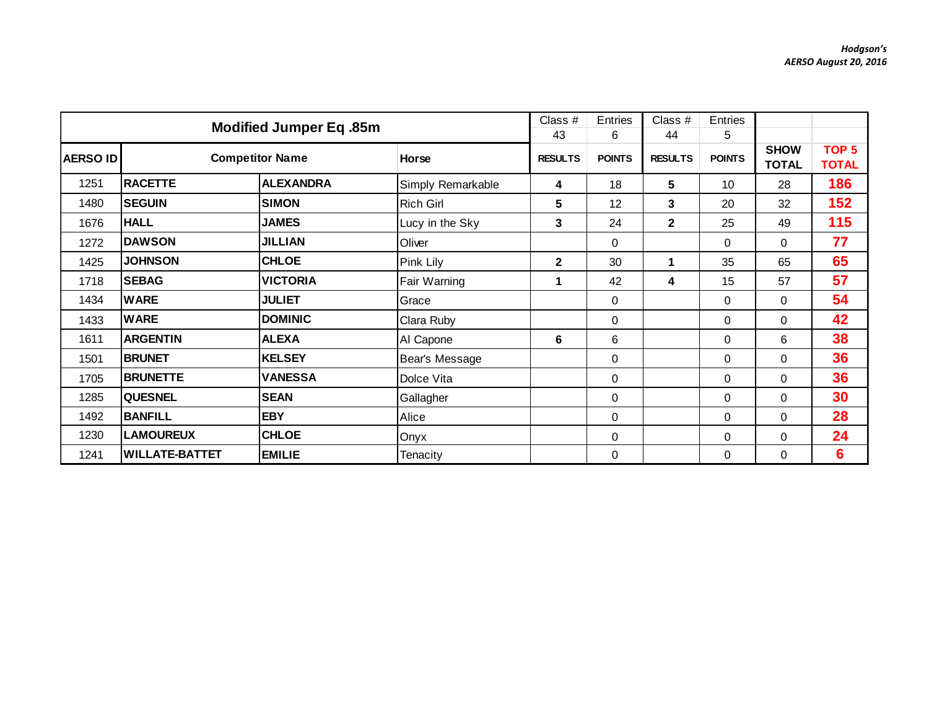| <b>Modified Jumper Eq. 85m</b> |                        |                  |                   | Class $#$               | Entries       | Class #        | Entries       |                             |                                  |
|--------------------------------|------------------------|------------------|-------------------|-------------------------|---------------|----------------|---------------|-----------------------------|----------------------------------|
|                                |                        |                  |                   | 43                      | 6             | 44             | 5             |                             |                                  |
| <b>AERSO ID</b>                | <b>Competitor Name</b> |                  | Horse             | <b>RESULTS</b>          | <b>POINTS</b> | <b>RESULTS</b> | <b>POINTS</b> | <b>SHOW</b><br><b>TOTAL</b> | TOP <sub>5</sub><br><b>TOTAL</b> |
| 1251                           | <b>RACETTE</b>         | <b>ALEXANDRA</b> | Simply Remarkable | 4                       | 18            | 5              | 10            | 28                          | 186                              |
| 1480                           | <b>SEGUIN</b>          | <b>SIMON</b>     | <b>Rich Girl</b>  | 5                       | 12            | 3              | 20            | 32                          | 152                              |
| 1676                           | <b>HALL</b>            | JAMES            | Lucy in the Sky   | 3                       | 24            | $\mathbf 2$    | 25            | 49                          | 115                              |
| 1272                           | <b>DAWSON</b>          | <b>JILLIAN</b>   | Oliver            |                         | 0             |                | $\Omega$      | $\Omega$                    | 77                               |
| 1425                           | <b>JOHNSON</b>         | <b>CHLOE</b>     | Pink Lily         | $\overline{\mathbf{2}}$ | 30            | 1              | 35            | 65                          | 65                               |
| 1718                           | <b>SEBAG</b>           | <b>VICTORIA</b>  | Fair Warning      | 1                       | 42            | 4              | 15            | 57                          | 57                               |
| 1434                           | <b>WARE</b>            | <b>JULIET</b>    | Grace             |                         | 0             |                | 0             | $\Omega$                    | 54                               |
| 1433                           | <b>WARE</b>            | <b>DOMINIC</b>   | Clara Ruby        |                         | 0             |                | 0             | $\Omega$                    | 42                               |
| 1611                           | <b>ARGENTIN</b>        | <b>ALEXA</b>     | Al Capone         | 6                       | 6             |                | 0             | 6                           | 38                               |
| 1501                           | <b>BRUNET</b>          | <b>KELSEY</b>    | Bear's Message    |                         | 0             |                | 0             | $\Omega$                    | 36                               |
| 1705                           | <b>BRUNETTE</b>        | <b>VANESSA</b>   | Dolce Vita        |                         | 0             |                | 0             | $\Omega$                    | 36                               |
| 1285                           | <b>QUESNEL</b>         | <b>SEAN</b>      | Gallagher         |                         | 0             |                | 0             | $\Omega$                    | 30                               |
| 1492                           | <b>BANFILL</b>         | <b>EBY</b>       | Alice             |                         | 0             |                | 0             | $\Omega$                    | 28                               |
| 1230                           | <b>LAMOUREUX</b>       | <b>CHLOE</b>     | Onyx              |                         | $\Omega$      |                | 0             | $\Omega$                    | 24                               |
| 1241                           | <b>WILLATE-BATTET</b>  | <b>EMILIE</b>    | Tenacity          |                         | 0             |                | 0             | 0                           | 6                                |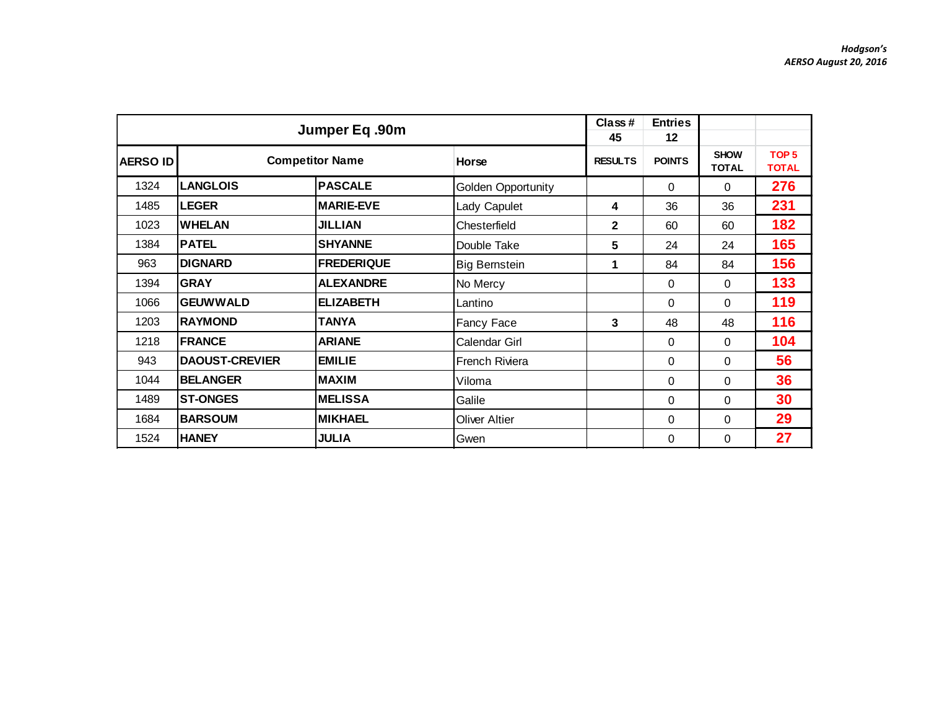|                 | Jumper Eq.90m                          | Class#<br>45      | <b>Entries</b><br>12  |               |                             |                                  |     |
|-----------------|----------------------------------------|-------------------|-----------------------|---------------|-----------------------------|----------------------------------|-----|
| <b>AERSO ID</b> | <b>Competitor Name</b><br><b>Horse</b> |                   | <b>RESULTS</b>        | <b>POINTS</b> | <b>SHOW</b><br><b>TOTAL</b> | TOP <sub>5</sub><br><b>TOTAL</b> |     |
| 1324            | <b>LANGLOIS</b>                        | <b>PASCALE</b>    | Golden Opportunity    |               | $\Omega$                    | 0                                | 276 |
| 1485            | <b>LEGER</b>                           | <b>MARIE-EVE</b>  | Lady Capulet          | 4             | 36                          | 36                               | 231 |
| 1023            | <b>WHELAN</b>                          | <b>JILLIAN</b>    | Chesterfield          | $\mathbf 2$   | 60                          | 60                               | 182 |
| 1384            | <b>PATEL</b>                           | <b>SHYANNE</b>    | Double Take           | 5             | 24                          | 24                               | 165 |
| 963             | <b>DIGNARD</b>                         | <b>FREDERIQUE</b> | <b>Big Bernstein</b>  | 1             | 84                          | 84                               | 156 |
| 1394            | <b>GRAY</b>                            | <b>ALEXANDRE</b>  | No Mercy              |               | $\Omega$                    | $\Omega$                         | 133 |
| 1066            | <b>GEUWWALD</b>                        | <b>ELIZABETH</b>  | Lantino               |               | $\Omega$                    | 0                                | 119 |
| 1203            | <b>RAYMOND</b>                         | <b>TANYA</b>      | Fancy Face            | 3             | 48                          | 48                               | 116 |
| 1218            | <b>FRANCE</b>                          | <b>ARIANE</b>     | Calendar Girl         |               | $\Omega$                    | 0                                | 104 |
| 943             | <b>DAOUST-CREVIER</b>                  | <b>EMILIE</b>     | <b>French Riviera</b> |               | 0                           | 0                                | 56  |
| 1044            | <b>BELANGER</b>                        | <b>MAXIM</b>      | Viloma                |               | 0                           | 0                                | 36  |
| 1489            | <b>ST-ONGES</b>                        | <b>MELISSA</b>    | Galile                |               | $\Omega$                    | 0                                | 30  |
| 1684            | <b>BARSOUM</b>                         | <b>MIKHAEL</b>    | <b>Oliver Altier</b>  |               | 0                           | 0                                | 29  |
| 1524            | <b>HANEY</b>                           | <b>JULIA</b>      | Gwen                  |               | 0                           | 0                                | 27  |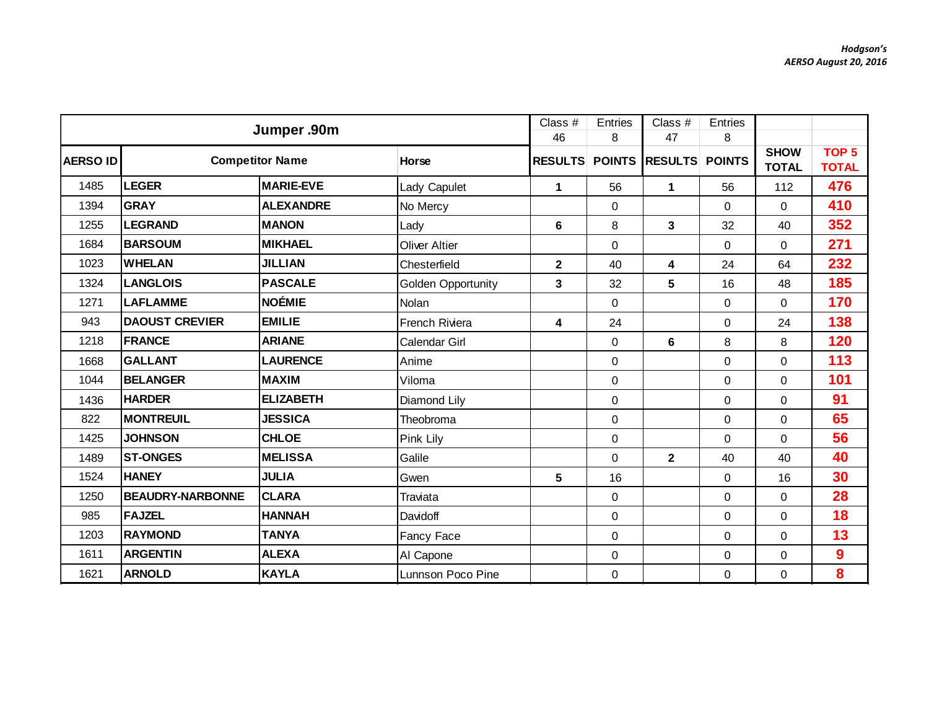|                 | Jumper .90m             |                        | Class #<br>46         | Entries<br>8   | Class #<br>47 | Entries<br>8          |                |                             |                                  |
|-----------------|-------------------------|------------------------|-----------------------|----------------|---------------|-----------------------|----------------|-----------------------------|----------------------------------|
| <b>AERSO ID</b> |                         | <b>Competitor Name</b> | <b>Horse</b>          | <b>RESULTS</b> | <b>POINTS</b> | <b>RESULTS POINTS</b> |                | <b>SHOW</b><br><b>TOTAL</b> | TOP <sub>5</sub><br><b>TOTAL</b> |
| 1485            | <b>LEGER</b>            | <b>MARIE-EVE</b>       | Lady Capulet          | $\mathbf{1}$   | 56            | $\mathbf{1}$          | 56             | 112                         | 476                              |
| 1394            | <b>GRAY</b>             | <b>ALEXANDRE</b>       | No Mercy              |                | $\Omega$      |                       | $\Omega$       | $\Omega$                    | 410                              |
| 1255            | <b>LEGRAND</b>          | <b>MANON</b>           | Lady                  | 6              | 8             | $\mathbf{3}$          | 32             | 40                          | 352                              |
| 1684            | <b>BARSOUM</b>          | <b>MIKHAEL</b>         | <b>Oliver Altier</b>  |                | $\mathbf 0$   |                       | $\Omega$       | $\overline{0}$              | 271                              |
| 1023            | <b>WHELAN</b>           | <b>JILLIAN</b>         | Chesterfield          | $\mathbf 2$    | 40            | 4                     | 24             | 64                          | 232                              |
| 1324            | <b>LANGLOIS</b>         | <b>PASCALE</b>         | Golden Opportunity    | 3              | 32            | 5                     | 16             | 48                          | 185                              |
| 1271            | <b>LAFLAMME</b>         | <b>NOÉMIE</b>          | Nolan                 |                | $\mathbf 0$   |                       | 0              | 0                           | 170                              |
| 943             | <b>DAOUST CREVIER</b>   | <b>EMILIE</b>          | <b>French Riviera</b> | 4              | 24            |                       | $\Omega$       | 24                          | 138                              |
| 1218            | <b>FRANCE</b>           | <b>ARIANE</b>          | Calendar Girl         |                | $\Omega$      | 6                     | 8              | 8                           | 120                              |
| 1668            | <b>GALLANT</b>          | <b>LAURENCE</b>        | Anime                 |                | $\mathbf 0$   |                       | $\Omega$       | $\overline{0}$              | 113                              |
| 1044            | <b>BELANGER</b>         | <b>MAXIM</b>           | Viloma                |                | $\mathbf 0$   |                       | $\Omega$       | $\overline{0}$              | 101                              |
| 1436            | <b>HARDER</b>           | <b>ELIZABETH</b>       | Diamond Lily          |                | $\mathbf 0$   |                       | $\Omega$       | 0                           | 91                               |
| 822             | <b>MONTREUIL</b>        | <b>JESSICA</b>         | Theobroma             |                | $\mathbf 0$   |                       | $\Omega$       | $\overline{0}$              | 65                               |
| 1425            | <b>JOHNSON</b>          | <b>CHLOE</b>           | Pink Lily             |                | $\mathbf 0$   |                       | $\Omega$       | $\Omega$                    | 56                               |
| 1489            | <b>ST-ONGES</b>         | <b>MELISSA</b>         | Galile                |                | $\Omega$      | $\mathbf{2}$          | 40             | 40                          | 40                               |
| 1524            | <b>HANEY</b>            | <b>JULIA</b>           | Gwen                  | 5              | 16            |                       | $\Omega$       | 16                          | 30                               |
| 1250            | <b>BEAUDRY-NARBONNE</b> | <b>CLARA</b>           | Traviata              |                | $\mathbf 0$   |                       | 0              | $\overline{0}$              | 28                               |
| 985             | <b>FAJZEL</b>           | <b>HANNAH</b>          | Davidoff              |                | $\mathbf 0$   |                       | $\Omega$       | $\Omega$                    | 18                               |
| 1203            | <b>RAYMOND</b>          | <b>TANYA</b>           | Fancy Face            |                | $\mathbf 0$   |                       | 0              | $\mathbf 0$                 | 13                               |
| 1611            | <b>ARGENTIN</b>         | <b>ALEXA</b>           | Al Capone             |                | $\mathbf 0$   |                       | $\overline{0}$ | $\overline{0}$              | $\boldsymbol{9}$                 |
| 1621            | <b>ARNOLD</b>           | <b>KAYLA</b>           | Lunnson Poco Pine     |                | $\mathbf 0$   |                       | 0              | 0                           | 8                                |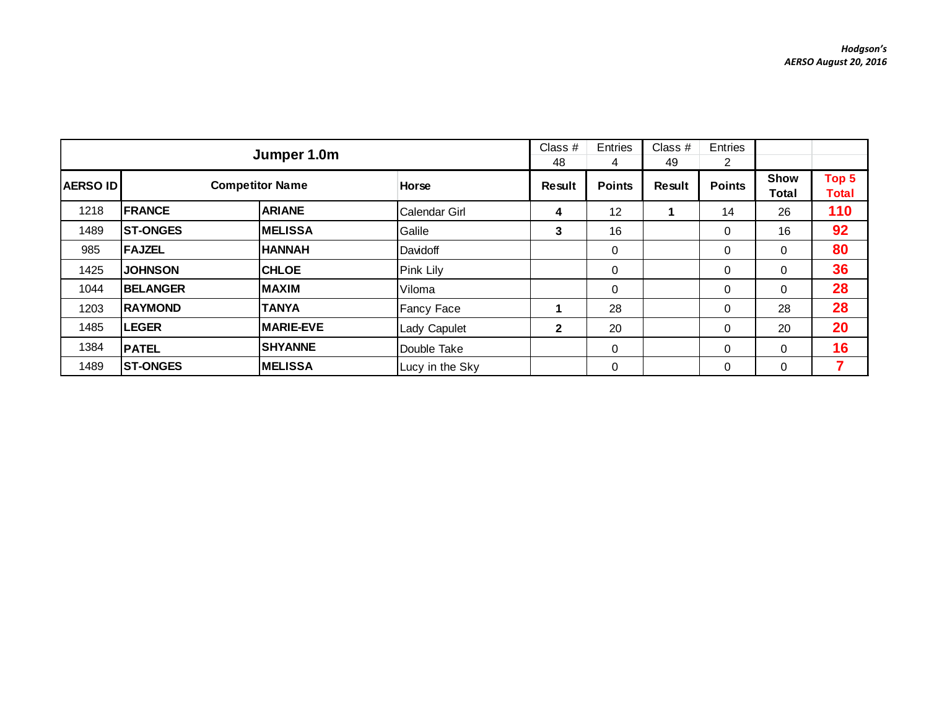|                 | Jumper 1.0m            |                  |                   |               | Entries<br>4  | Class #<br>49 | Entries<br>$\mathbf{2}$ |               |                       |
|-----------------|------------------------|------------------|-------------------|---------------|---------------|---------------|-------------------------|---------------|-----------------------|
| <b>AERSO ID</b> | <b>Competitor Name</b> |                  | Horse             | <b>Result</b> | <b>Points</b> | <b>Result</b> | <b>Points</b>           | Show<br>Total | Top 5<br><b>Total</b> |
| 1218            | <b>FRANCE</b>          | <b>ARIANE</b>    | Calendar Girl     | 4             | 12            |               | 14                      | 26            | 110                   |
| 1489            | <b>ST-ONGES</b>        | <b>MELISSA</b>   | Galile            | 3             | 16            |               | $\mathbf 0$             | 16            | 92                    |
| 985             | <b>FAJZEL</b>          | <b>HANNAH</b>    | Davidoff          |               | $\mathbf 0$   |               | 0                       | $\Omega$      | 80                    |
| 1425            | <b>JOHNSON</b>         | <b>CHLOE</b>     | Pink Lily         |               | $\mathbf 0$   |               | 0                       | 0             | 36                    |
| 1044            | <b>BELANGER</b>        | <b>MAXIM</b>     | Viloma            |               | $\mathbf 0$   |               | 0                       | 0             | 28                    |
| 1203            | <b>RAYMOND</b>         | <b>TANYA</b>     | <b>Fancy Face</b> | 1             | 28            |               | $\mathbf 0$             | 28            | 28                    |
| 1485            | <b>LEGER</b>           | <b>MARIE-EVE</b> | Lady Capulet      | $\mathbf{2}$  | 20            |               | $\mathbf 0$             | 20            | 20                    |
| 1384            | <b>PATEL</b>           | <b>SHYANNE</b>   | Double Take       |               | 0             |               | $\mathbf 0$             | $\mathbf 0$   | 16                    |
| 1489            | <b>ST-ONGES</b>        | <b>MELISSA</b>   | Lucy in the Sky   |               | $\Omega$      |               | 0                       | 0             |                       |